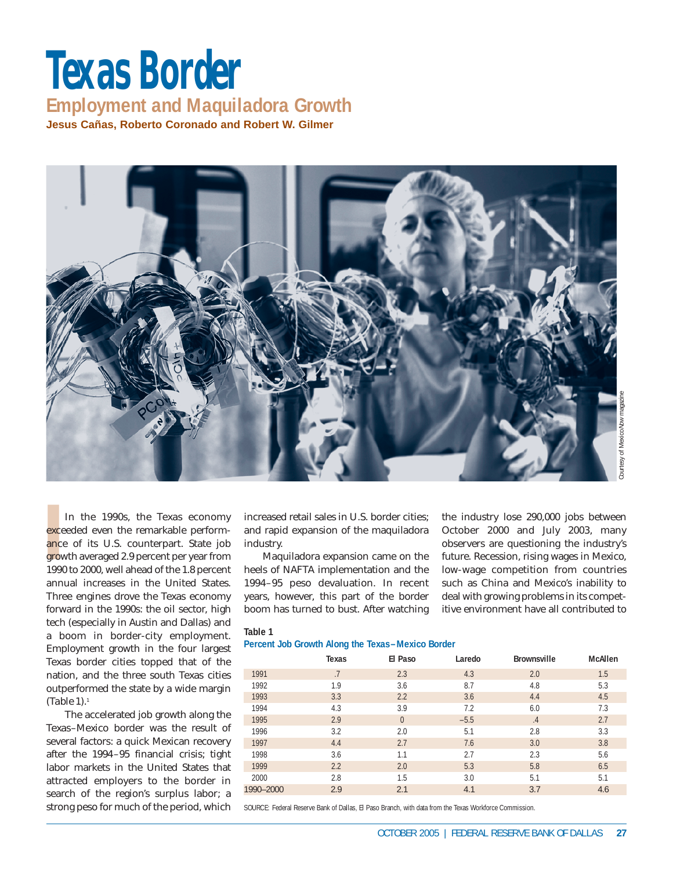# **Texas Border Employment and Maquiladora Growth Jesus Cañas, Roberto Coronado and Robert W. Gilmer**



**Produce**<br>**IPPO**<br>**IPPO**<br>**IPPO** In the 1990s, the Texas economy exceeded even the remarkable performance of its U.S. counterpart. State job growth averaged 2.9 percent per year from 1990 to 2000, well ahead of the 1.8 percent annual increases in the United States. Three engines drove the Texas economy forward in the 1990s: the oil sector, high tech (especially in Austin and Dallas) and a boom in border-city employment. Employment growth in the four largest Texas border cities topped that of the nation, and the three south Texas cities outperformed the state by a wide margin (*Table 1*).1

The accelerated job growth along the Texas–Mexico border was the result of several factors: a quick Mexican recovery after the 1994–95 financial crisis; tight labor markets in the United States that attracted employers to the border in search of the region's surplus labor; a strong peso for much of the period, which

### **Table 1**

| Courtesy of MexicoNow magazine<br>increased retail sales in U.S. border cities;<br>the industry lose 290,000 jobs between<br>October 2000 and July 2003, many<br>and rapid expansion of the maquiladora<br>industry.<br>observers are questioning the industry's<br>Maquiladora expansion came on the<br>future. Recession, rising wages in Mexico,<br>heels of NAFTA implementation and the<br>low-wage competition from countries<br>1994-95 peso devaluation. In recent<br>such as China and Mexico's inability to<br>years, however, this part of the border<br>deal with growing problems in its compet-<br>boom has turned to bust. After watching<br>itive environment have all contributed to |       |                                                                                                        |        |                                               |                |  |  |
|-------------------------------------------------------------------------------------------------------------------------------------------------------------------------------------------------------------------------------------------------------------------------------------------------------------------------------------------------------------------------------------------------------------------------------------------------------------------------------------------------------------------------------------------------------------------------------------------------------------------------------------------------------------------------------------------------------|-------|--------------------------------------------------------------------------------------------------------|--------|-----------------------------------------------|----------------|--|--|
| Table 1                                                                                                                                                                                                                                                                                                                                                                                                                                                                                                                                                                                                                                                                                               |       | Percent Job Growth Along the Texas-Mexico Border                                                       |        |                                               |                |  |  |
|                                                                                                                                                                                                                                                                                                                                                                                                                                                                                                                                                                                                                                                                                                       | Texas | El Paso                                                                                                | Laredo | Brownsville                                   | <b>McAllen</b> |  |  |
| 1991                                                                                                                                                                                                                                                                                                                                                                                                                                                                                                                                                                                                                                                                                                  | .7    | 2.3                                                                                                    | 4.3    | 2.0                                           | 1.5            |  |  |
| 1992                                                                                                                                                                                                                                                                                                                                                                                                                                                                                                                                                                                                                                                                                                  | 1.9   | 3.6                                                                                                    | 8.7    | 4.8                                           | 5.3            |  |  |
| 1993                                                                                                                                                                                                                                                                                                                                                                                                                                                                                                                                                                                                                                                                                                  | 3.3   | 2.2                                                                                                    | 3.6    | 4.4                                           | 4.5            |  |  |
| 1994                                                                                                                                                                                                                                                                                                                                                                                                                                                                                                                                                                                                                                                                                                  | 4.3   | 3.9                                                                                                    | 7.2    | 6.0                                           | 7.3            |  |  |
| 1995                                                                                                                                                                                                                                                                                                                                                                                                                                                                                                                                                                                                                                                                                                  | 2.9   | $\overline{0}$                                                                                         | $-5.5$ | $.4\phantom{0}$                               | 2.7            |  |  |
| 1996                                                                                                                                                                                                                                                                                                                                                                                                                                                                                                                                                                                                                                                                                                  | 3.2   | 2.0                                                                                                    | 5.1    | 2.8                                           | 3.3            |  |  |
| 1997                                                                                                                                                                                                                                                                                                                                                                                                                                                                                                                                                                                                                                                                                                  | 4.4   | 2.7                                                                                                    | 7.6    | 3.0                                           | 3.8            |  |  |
| 1998                                                                                                                                                                                                                                                                                                                                                                                                                                                                                                                                                                                                                                                                                                  | 3.6   | 1.1                                                                                                    | 2.7    | 2.3                                           | 5.6            |  |  |
| 1999                                                                                                                                                                                                                                                                                                                                                                                                                                                                                                                                                                                                                                                                                                  | 2.2   | 2.0                                                                                                    | 5.3    | 5.8                                           | 6.5            |  |  |
| 2000                                                                                                                                                                                                                                                                                                                                                                                                                                                                                                                                                                                                                                                                                                  | 2.8   | 1.5                                                                                                    | 3.0    | 5.1                                           | 5.1            |  |  |
| 1990-2000                                                                                                                                                                                                                                                                                                                                                                                                                                                                                                                                                                                                                                                                                             | 2.9   | 2.1                                                                                                    | 4.1    | 3.7                                           | 4.6            |  |  |
|                                                                                                                                                                                                                                                                                                                                                                                                                                                                                                                                                                                                                                                                                                       |       | SOURCE: Federal Reserve Bank of Dallas, El Paso Branch, with data from the Texas Workforce Commission. |        | OCTOBER 2005   FEDERAL RESERVE BANK OF DALLAS | 27             |  |  |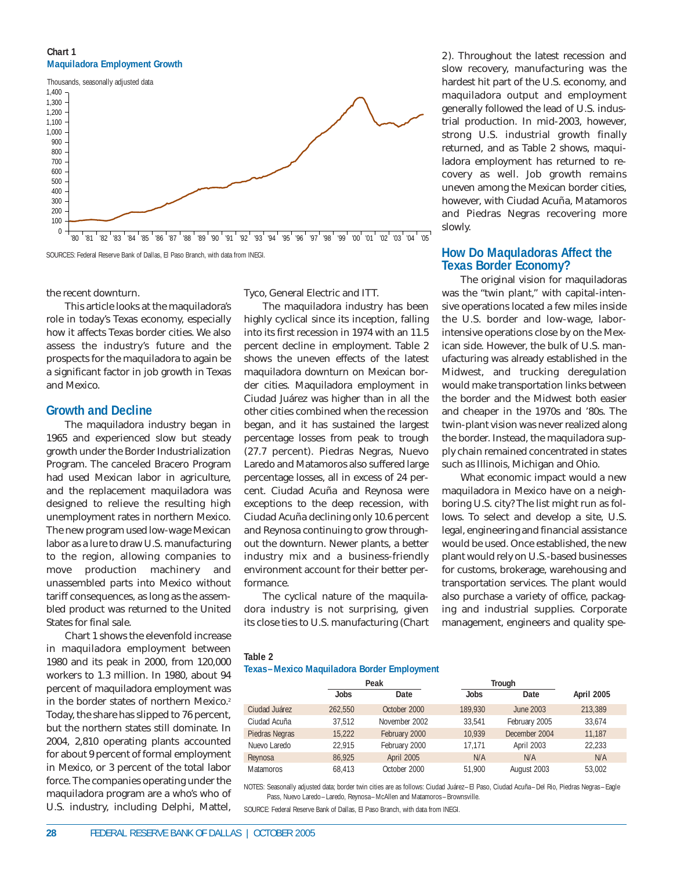### **Chart 1 Maquiladora Employment Growth**



SOURCES: Federal Reserve Bank of Dallas, El Paso Branch, with data from INEGI.

the recent downturn.

This article looks at the maquiladora's role in today's Texas economy, especially how it affects Texas border cities. We also assess the industry's future and the prospects for the maquiladora to again be a significant factor in job growth in Texas and Mexico.

## **Growth and Decline**

The maquiladora industry began in 1965 and experienced slow but steady growth under the Border Industrialization Program. The canceled Bracero Program had used Mexican labor in agriculture, and the replacement maquiladora was designed to relieve the resulting high unemployment rates in northern Mexico. The new program used low-wage Mexican labor as a lure to draw U.S. manufacturing to the region, allowing companies to move production machinery and unassembled parts into Mexico without tariff consequences, as long as the assembled product was returned to the United States for final sale.

Chart 1 shows the elevenfold increase in maquiladora employment between 1980 and its peak in 2000, from 120,000 workers to 1.3 million. In 1980, about 94 percent of maquiladora employment was in the border states of northern Mexico.<sup>2</sup> Today, the share has slipped to 76 percent, but the northern states still dominate. In 2004, 2,810 operating plants accounted for about 9 percent of formal employment in Mexico, or 3 percent of the total labor force. The companies operating under the maquiladora program are a who's who of U.S. industry, including Delphi, Mattel,

Tyco, General Electric and ITT.

The maquiladora industry has been highly cyclical since its inception, falling into its first recession in 1974 with an 11.5 percent decline in employment. Table 2 shows the uneven effects of the latest maquiladora downturn on Mexican border cities. Maquiladora employment in Ciudad Juárez was higher than in all the other cities combined when the recession began, and it has sustained the largest percentage losses from peak to trough (27.7 percent). Piedras Negras, Nuevo Laredo and Matamoros also suffered large percentage losses, all in excess of 24 percent. Ciudad Acuña and Reynosa were exceptions to the deep recession, with Ciudad Acuña declining only 10.6 percent and Reynosa continuing to grow throughout the downturn. Newer plants, a better industry mix and a business-friendly environment account for their better performance.

The cyclical nature of the maquiladora industry is not surprising, given its close ties to U.S. manufacturing (*Chart* *2*). Throughout the latest recession and slow recovery, manufacturing was the hardest hit part of the U.S. economy, and maquiladora output and employment generally followed the lead of U.S. industrial production. In mid-2003, however, strong U.S. industrial growth finally returned, and as Table 2 shows, maquiladora employment has returned to recovery as well. Job growth remains uneven among the Mexican border cities, however, with Ciudad Acuña, Matamoros and Piedras Negras recovering more slowly.

## **How Do Maquladoras Affect the Texas Border Economy?**

The original vision for maquiladoras was the "twin plant," with capital-intensive operations located a few miles inside the U.S. border and low-wage, laborintensive operations close by on the Mexican side. However, the bulk of U.S. manufacturing was already established in the Midwest, and trucking deregulation would make transportation links between the border and the Midwest both easier and cheaper in the 1970s and '80s. The twin-plant vision was never realized along the border. Instead, the maquiladora supply chain remained concentrated in states such as Illinois, Michigan and Ohio.

What economic impact would a new maquiladora in Mexico have on a neighboring U.S. city? The list might run as follows. To select and develop a site, U.S. legal, engineering and financial assistance would be used. Once established, the new plant would rely on U.S.-based businesses for customs, brokerage, warehousing and transportation services. The plant would also purchase a variety of office, packaging and industrial supplies. Corporate management, engineers and quality spe-

#### **Table 2**

**Texas–Mexico Maquiladora Border Employment**

|                  | Peak    |               | Trough  |               |                   |  |
|------------------|---------|---------------|---------|---------------|-------------------|--|
|                  | Jobs    | Date          | Jobs    | Date          | <b>April 2005</b> |  |
| Ciudad Juárez    | 262.550 | October 2000  | 189.930 | June 2003     | 213.389           |  |
| Ciudad Acuña     | 37.512  | November 2002 | 33.541  | February 2005 | 33,674            |  |
| Piedras Negras   | 15.222  | February 2000 | 10.939  | December 2004 | 11.187            |  |
| Nuevo Laredo     | 22.915  | February 2000 | 17.171  | April 2003    | 22,233            |  |
| Reynosa          | 86,925  | April 2005    | N/A     | N/A           | N/A               |  |
| <b>Matamoros</b> | 68.413  | October 2000  | 51.900  | August 2003   | 53.002            |  |

NOTES: Seasonally adjusted data; border twin cities are as follows: Ciudad Juárez–El Paso, Ciudad Acuña–Del Rio, Piedras Negras–Eagle Pass, Nuevo Laredo–Laredo, Reynosa–McAllen and Matamoros–Brownsville.

SOURCE: Federal Reserve Bank of Dallas, El Paso Branch, with data from INEGI.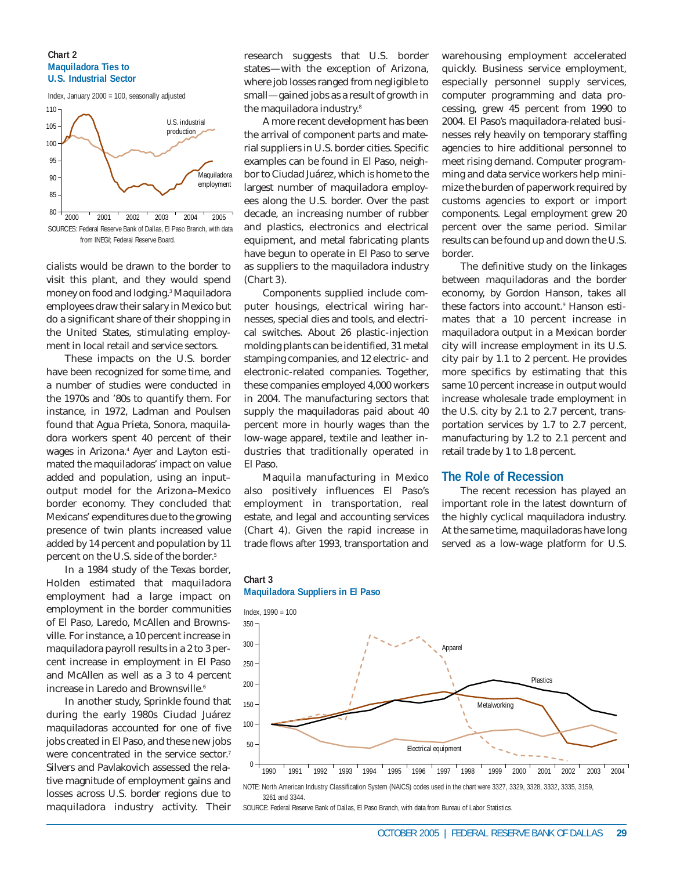#### **Chart 2 Maquiladora Ties to U.S. Industrial Sector**



SOURCES: Federal Reserve Bank of Dallas, El Paso Branch, with data from INEGI; Federal Reserve Board.

cialists would be drawn to the border to visit this plant, and they would spend money on food and lodging.3 Maquiladora employees draw their salary in Mexico but do a significant share of their shopping in the United States, stimulating employment in local retail and service sectors.

These impacts on the U.S. border have been recognized for some time, and a number of studies were conducted in the 1970s and '80s to quantify them. For instance, in 1972, Ladman and Poulsen found that Agua Prieta, Sonora, maquiladora workers spent 40 percent of their wages in Arizona.4 Ayer and Layton estimated the maquiladoras' impact on value added and population, using an input– output model for the Arizona–Mexico border economy. They concluded that Mexicans' expenditures due to the growing presence of twin plants increased value added by 14 percent and population by 11 percent on the U.S. side of the border.<sup>5</sup>

In a 1984 study of the Texas border, Holden estimated that maquiladora employment had a large impact on employment in the border communities of El Paso, Laredo, McAllen and Brownsville. For instance, a 10 percent increase in maquiladora payroll results in a 2 to 3 percent increase in employment in El Paso and McAllen as well as a 3 to 4 percent increase in Laredo and Brownsville.<sup>6</sup>

In another study, Sprinkle found that during the early 1980s Ciudad Juárez maquiladoras accounted for one of five jobs created in El Paso, and these new jobs were concentrated in the service sector.<sup>7</sup> Silvers and Pavlakovich assessed the relative magnitude of employment gains and losses across U.S. border regions due to maquiladora industry activity. Their

research suggests that U.S. border states—with the exception of Arizona, where job losses ranged from negligible to small—gained jobs as a result of growth in the maquiladora industry.<sup>8</sup>

A more recent development has been the arrival of component parts and material suppliers in U.S. border cities. Specific examples can be found in El Paso, neighbor to Ciudad Juárez, which is home to the largest number of maquiladora employees along the U.S. border. Over the past decade, an increasing number of rubber and plastics, electronics and electrical equipment, and metal fabricating plants have begun to operate in El Paso to serve as suppliers to the maquiladora industry (*Chart 3*).

Components supplied include computer housings, electrical wiring harnesses, special dies and tools, and electrical switches. About 26 plastic-injection molding plants can be identified, 31 metal stamping companies, and 12 electric- and electronic-related companies. Together, these companies employed 4,000 workers in 2004. The manufacturing sectors that supply the maquiladoras paid about 40 percent more in hourly wages than the low-wage apparel, textile and leather industries that traditionally operated in El Paso.

Maquila manufacturing in Mexico also positively influences El Paso's employment in transportation, real estate, and legal and accounting services (*Chart 4*). Given the rapid increase in trade flows after 1993, transportation and

warehousing employment accelerated quickly. Business service employment, especially personnel supply services, computer programming and data processing, grew 45 percent from 1990 to 2004. El Paso's maquiladora-related businesses rely heavily on temporary staffing agencies to hire additional personnel to meet rising demand. Computer programming and data service workers help minimize the burden of paperwork required by customs agencies to export or import components. Legal employment grew 20 percent over the same period. Similar results can be found up and down the U.S. border.

The definitive study on the linkages between maquiladoras and the border economy, by Gordon Hanson, takes all these factors into account.<sup>9</sup> Hanson estimates that a 10 percent increase in maquiladora output in a Mexican border city will increase employment in its U.S. city pair by 1.1 to 2 percent. He provides more specifics by estimating that this same 10 percent increase in output would increase wholesale trade employment in the U.S. city by 2.1 to 2.7 percent, transportation services by 1.7 to 2.7 percent, manufacturing by 1.2 to 2.1 percent and retail trade by 1 to 1.8 percent.

## **The Role of Recession**

The recent recession has played an important role in the latest downturn of the highly cyclical maquiladora industry. At the same time, maquiladoras have long served as a low-wage platform for U.S.





NOTE: North American Industry Classification System (NAICS) codes used in the chart were 3327, 3329, 3328, 3332, 3335, 3159, 3261 and 3344.

SOURCE: Federal Reserve Bank of Dallas, El Paso Branch, with data from Bureau of Labor Statistics.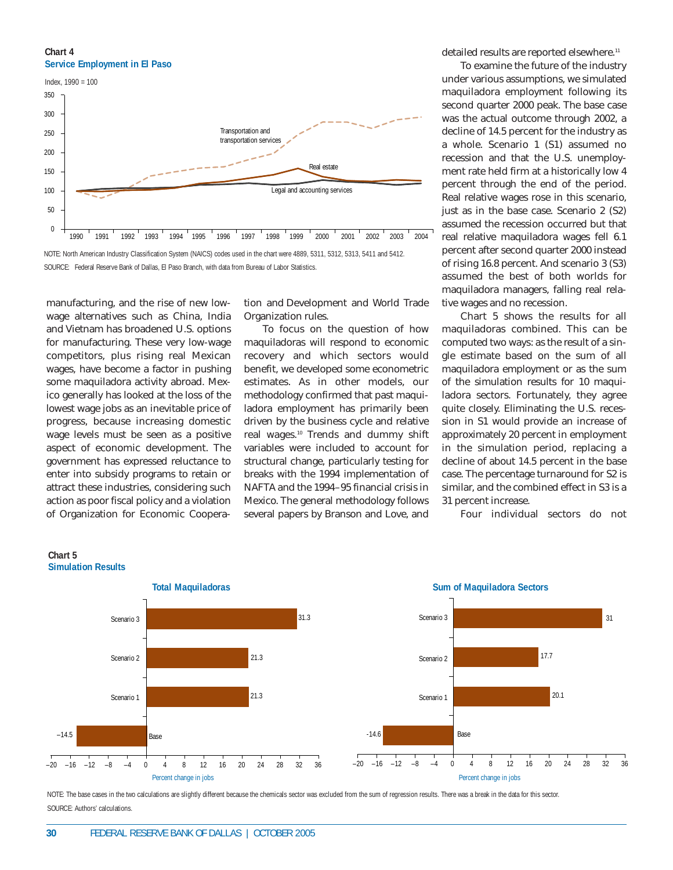**Chart 4 Service Employment in El Paso**



NOTE: North American Industry Classification System (NAICS) codes used in the chart were 4889, 5311, 5312, 5313, 5411 and 5412. SOURCE: Federal Reserve Bank of Dallas, El Paso Branch, with data from Bureau of Labor Statistics.

manufacturing, and the rise of new lowwage alternatives such as China, India and Vietnam has broadened U.S. options for manufacturing. These very low-wage competitors, plus rising real Mexican wages, have become a factor in pushing some maquiladora activity abroad. Mexico generally has looked at the loss of the lowest wage jobs as an inevitable price of progress, because increasing domestic wage levels must be seen as a positive aspect of economic development. The government has expressed reluctance to enter into subsidy programs to retain or attract these industries, considering such action as poor fiscal policy and a violation of Organization for Economic Coopera-

tion and Development and World Trade Organization rules.

To focus on the question of how maquiladoras will respond to economic recovery and which sectors would benefit, we developed some econometric estimates. As in other models, our methodology confirmed that past maquiladora employment has primarily been driven by the business cycle and relative real wages.10 Trends and dummy shift variables were included to account for structural change, particularly testing for breaks with the 1994 implementation of NAFTA and the 1994–95 financial crisis in Mexico. The general methodology follows several papers by Branson and Love, and detailed results are reported elsewhere.<sup>11</sup>

To examine the future of the industry under various assumptions, we simulated maquiladora employment following its second quarter 2000 peak. The base case was the actual outcome through 2002, a decline of 14.5 percent for the industry as a whole. Scenario 1 (S1) assumed no recession and that the U.S. unemployment rate held firm at a historically low 4 percent through the end of the period. Real relative wages rose in this scenario, just as in the base case. Scenario 2 (S2) assumed the recession occurred but that real relative maquiladora wages fell 6.1 percent after second quarter 2000 instead of rising 16.8 percent. And scenario 3 (S3) assumed the best of both worlds for maquiladora managers, falling real relative wages and no recession.

Chart 5 shows the results for all maquiladoras combined. This can be computed two ways: as the result of a single estimate based on the sum of all maquiladora employment or as the sum of the simulation results for 10 maquiladora sectors. Fortunately, they agree quite closely. Eliminating the U.S. recession in S1 would provide an increase of approximately 20 percent in employment in the simulation period, replacing a decline of about 14.5 percent in the base case. The percentage turnaround for S2 is similar, and the combined effect in S3 is a 31 percent increase.

Four individual sectors do not





NOTE: The base cases in the two calculations are slightly different because the chemicals sector was excluded from the sum of regression results. There was a break in the data for this sector SOURCE: Authors' calculations.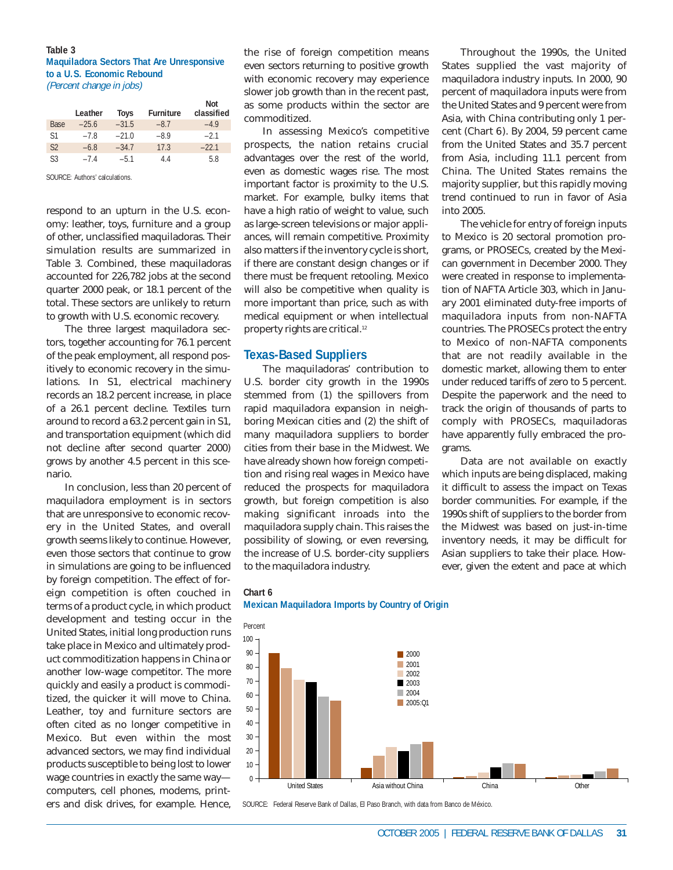#### **Table 3 Maquiladora Sectors That Are Unresponsive to a U.S. Economic Rebound** (Percent change in jobs)

**No. 4** 

|                | Leather | <b>Toys</b> | <b>Furniture</b> | NOt<br>classified |
|----------------|---------|-------------|------------------|-------------------|
| Base           | $-25.6$ | $-31.5$     | $-8.7$           | $-4.9$            |
| S <sub>1</sub> | $-78$   | $-21.0$     | $-8.9$           | $-2.1$            |
| S <sub>2</sub> | $-6.8$  | $-34.7$     | 17.3             | $-22.1$           |
| S3             | $-74$   | $-5.1$      | 44               | 58                |

SOURCE: Authors' calculations.

respond to an upturn in the U.S. economy: leather, toys, furniture and a group of other, unclassified maquiladoras. Their simulation results are summarized in Table 3. Combined, these maquiladoras accounted for 226,782 jobs at the second quarter 2000 peak, or 18.1 percent of the total. These sectors are unlikely to return to growth with U.S. economic recovery.

The three largest maquiladora sectors, together accounting for 76.1 percent of the peak employment, all respond positively to economic recovery in the simulations. In S1, electrical machinery records an 18.2 percent increase, in place of a 26.1 percent decline. Textiles turn around to record a 63.2 percent gain in S1, and transportation equipment (which did not decline after second quarter 2000) grows by another 4.5 percent in this scenario.

In conclusion, less than 20 percent of maquiladora employment is in sectors that are unresponsive to economic recovery in the United States, and overall growth seems likely to continue. However, even those sectors that continue to grow in simulations are going to be influenced by foreign competition. The effect of foreign competition is often couched in terms of a product cycle, in which product development and testing occur in the United States, initial long production runs take place in Mexico and ultimately product commoditization happens in China or another low-wage competitor. The more quickly and easily a product is commoditized, the quicker it will move to China. Leather, toy and furniture sectors are often cited as no longer competitive in Mexico. But even within the most advanced sectors, we may find individual products susceptible to being lost to lower wage countries in exactly the same way computers, cell phones, modems, printers and disk drives, for example. Hence,

the rise of foreign competition means even sectors returning to positive growth with economic recovery may experience slower job growth than in the recent past, as some products within the sector are commoditized.

In assessing Mexico's competitive prospects, the nation retains crucial advantages over the rest of the world, even as domestic wages rise. The most important factor is proximity to the U.S. market. For example, bulky items that have a high ratio of weight to value, such as large-screen televisions or major appliances, will remain competitive. Proximity also matters if the inventory cycle is short, if there are constant design changes or if there must be frequent retooling. Mexico will also be competitive when quality is more important than price, such as with medical equipment or when intellectual property rights are critical.12

# **Texas-Based Suppliers**

**Chart 6**

The maquiladoras' contribution to U.S. border city growth in the 1990s stemmed from (1) the spillovers from rapid maquiladora expansion in neighboring Mexican cities and (2) the shift of many maquiladora suppliers to border cities from their base in the Midwest. We have already shown how foreign competition and rising real wages in Mexico have reduced the prospects for maquiladora growth, but foreign competition is also making significant inroads into the maquiladora supply chain. This raises the possibility of slowing, or even reversing, the increase of U.S. border-city suppliers to the maquiladora industry.

**Mexican Maquiladora Imports by Country of Origin**

Throughout the 1990s, the United States supplied the vast majority of maquiladora industry inputs. In 2000, 90 percent of maquiladora inputs were from the United States and 9 percent were from Asia, with China contributing only 1 percent (*Chart 6*). By 2004, 59 percent came from the United States and 35.7 percent from Asia, including 11.1 percent from China. The United States remains the majority supplier, but this rapidly moving trend continued to run in favor of Asia into 2005.

The vehicle for entry of foreign inputs to Mexico is 20 sectoral promotion programs, or PROSECs, created by the Mexican government in December 2000. They were created in response to implementation of NAFTA Article 303, which in January 2001 eliminated duty-free imports of maquiladora inputs from non-NAFTA countries. The PROSECs protect the entry to Mexico of non-NAFTA components that are not readily available in the domestic market, allowing them to enter under reduced tariffs of zero to 5 percent. Despite the paperwork and the need to track the origin of thousands of parts to comply with PROSECs, maquiladoras have apparently fully embraced the programs.

Data are not available on exactly which inputs are being displaced, making it difficult to assess the impact on Texas border communities. For example, if the 1990s shift of suppliers to the border from the Midwest was based on just-in-time inventory needs, it may be difficult for Asian suppliers to take their place. However, given the extent and pace at which



SOURCE: Federal Reserve Bank of Dallas, El Paso Branch, with data from Banco de México.